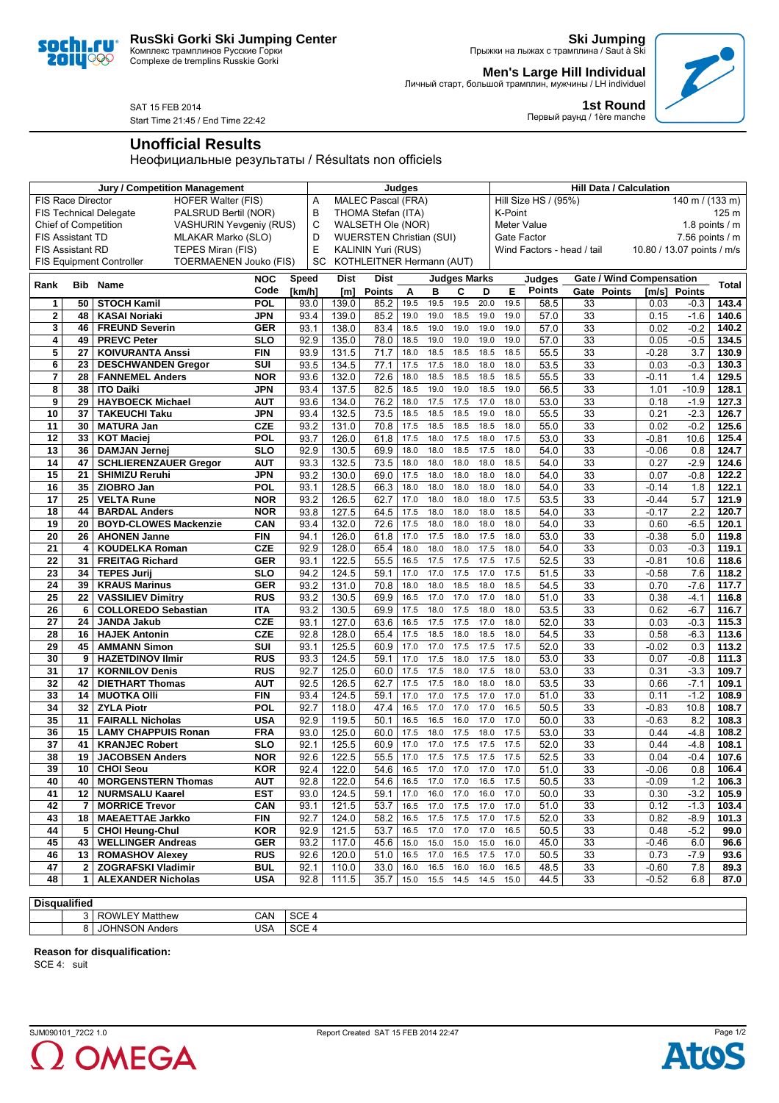## **RusSki Gorki Ski Jumping Center**

Комплекс трамплинов Русские Горки Complexe de tremplins Russkie Gorki

**Ski Jumping**

Личный старт, большой трамплин, мужчины / LH individuel

Прыжки на лыжах с трамплина / Saut à Ski **Men's Large Hill Individual**

**1st Round**

Первый раунд / 1ère manche

SAT 15 FEB 2014

soc 20 JU (

QÇ

Start Time 21:45 / End Time 22:42

## **Unofficial Results**

Неофициальные результаты / Résultats non officiels

|                                                               |                 | <b>Jury / Competition Management</b>                             |                          | <b>Judges</b>                                    |                                 |                           |              |              |              | <b>Hill Data / Calculation</b> |                                                           |               |                                 |                 |                  |                |
|---------------------------------------------------------------|-----------------|------------------------------------------------------------------|--------------------------|--------------------------------------------------|---------------------------------|---------------------------|--------------|--------------|--------------|--------------------------------|-----------------------------------------------------------|---------------|---------------------------------|-----------------|------------------|----------------|
| FIS Race Director<br><b>HOFER Walter (FIS)</b>                |                 |                                                                  |                          | Α                                                | <b>MALEC Pascal (FRA)</b>       |                           |              |              |              |                                | Hill Size HS / (95%)<br>$140 \text{ m} / (133 \text{ m})$ |               |                                 |                 |                  |                |
| <b>FIS Technical Delegate</b><br>PALSRUD Bertil (NOR)         |                 |                                                                  |                          | B                                                | THOMA Stefan (ITA)              |                           |              |              |              |                                | K-Point                                                   |               |                                 |                 |                  | 125 m          |
| <b>Chief of Competition</b><br><b>VASHURIN Yevgeniy (RUS)</b> |                 |                                                                  |                          | C                                                | WALSETH Ole (NOR)               |                           |              |              |              |                                | Meter Value                                               |               |                                 | 1.8 points $/m$ |                  |                |
| <b>FIS Assistant TD</b><br>MLAKAR Marko (SLO)                 |                 |                                                                  |                          | D                                                | <b>WUERSTEN Christian (SUI)</b> |                           |              |              |              |                                | Gate Factor<br>7.56 points $/$ m                          |               |                                 |                 |                  |                |
| <b>FIS Assistant RD</b><br>TEPES Miran (FIS)                  |                 |                                                                  | E                        | KALININ Yuri (RUS)<br>Wind Factors - head / tail |                                 |                           |              |              |              |                                | 10.80 / 13.07 points / m/s                                |               |                                 |                 |                  |                |
|                                                               |                 | <b>TOERMAENEN Jouko (FIS)</b><br><b>FIS Equipment Controller</b> |                          | SC                                               |                                 | KOTHLEITNER Hermann (AUT) |              |              |              |                                |                                                           |               |                                 |                 |                  |                |
|                                                               |                 |                                                                  | <b>NOC</b>               | Speed                                            | <b>Dist</b>                     | <b>Dist</b>               |              |              | Judges Marks |                                |                                                           | Judges        | <b>Gate / Wind Compensation</b> |                 |                  |                |
| Rank                                                          |                 | <b>Bib Name</b>                                                  | Code                     | [km/h]                                           | [m]                             | <b>Points</b>             | A            | в            | C            | D                              | Е                                                         | <b>Points</b> | Gate Points                     | [m/s]           | <b>Points</b>    | <b>Total</b>   |
| 1                                                             | 50              | <b>STOCH Kamil</b>                                               | POL                      | 93.0                                             | 139.0                           | 85.2                      | 19.5         | 19.5         | 19.5         | 20.0                           | 19.5                                                      | 58.5          | 33                              | 0.03            | -0.3             | 143.4          |
| $\overline{2}$                                                | 48              | <b>KASAI Noriaki</b>                                             | JPN                      | 93.4                                             | 139.0                           | 85.2                      | 19.0         | 19.0         | 18.5         | 19.0                           | 19.0                                                      | 57.0          | 33                              | 0.15            | $-1.6$           | 140.6          |
| 3                                                             | 46              | <b>FREUND Severin</b>                                            | <b>GER</b>               | 93.1                                             | 138.0                           | 83.4                      | 18.5         | 19.0         | 19.0         | 19.0                           | 19.0                                                      | 57.0          | 33                              | 0.02            | $-0.2$           | 140.2          |
| 4                                                             | 49              | <b>PREVC Peter</b>                                               | <b>SLO</b>               | 92.9                                             | 135.0                           | 78.0                      | 18.5         | 19.0         | 19.0         | 19.0                           | 19.0                                                      | 57.0          | $\overline{33}$                 | 0.05            | $-0.5$           | 134.5          |
| 5                                                             | 27              | <b>KOIVURANTA Anssi</b>                                          | <b>FIN</b>               | 93.9                                             | 131.5                           | 71.7                      | 18.0         | 18.5         | 18.5         | 18.5                           | 18.5                                                      | 55.5          | $\overline{33}$                 | $-0.28$         | 3.7              | 130.9          |
| 6                                                             | 23              | <b>DESCHWANDEN Gregor</b>                                        | $\overline{\text{SUI}}$  | 93.5                                             | 134.5                           | 77.1                      | 17.5         | 17.5         | 18.0         | 18.0                           | 18.0                                                      | 53.5          | $\overline{33}$                 | 0.03            | $-0.3$           | 130.3          |
| 7                                                             | 28              | <b>FANNEMEL Anders</b>                                           | <b>NOR</b>               | 93.6                                             | 132.0                           | 72.6                      | 18.0         | 18.5         | 18.5         | 18.5                           | 18.5                                                      | 55.5          | $\overline{33}$                 | $-0.11$         | 1.4              | 129.5          |
| 8                                                             | 38              | <b>ITO Daiki</b>                                                 | <b>JPN</b>               | 93.4                                             | 137.5                           | 82.5                      | 18.5         | 19.0         | 19.0         | 18.5                           | 19.0                                                      | 56.5          | $\overline{33}$                 | 1.01            | $-10.9$          | 128.1          |
| 9                                                             | 29              | <b>HAYBOECK Michael</b>                                          | <b>AUT</b>               | 93.6                                             | 134.0                           | 76.2                      | 18.0         | 17.5         | 17.5         | 17.0                           | 18.0                                                      | 53.0          | $\overline{33}$                 | 0.18            | $-1.9$           | 127.3          |
| $\overline{10}$                                               | $\overline{37}$ | <b>TAKEUCHI Taku</b>                                             | JPN                      | 93.4                                             | 132.5                           | 73.5                      | 18.5         | 18.5         | 18.5         | 19.0                           | 18.0                                                      | 55.5          | $\overline{33}$                 | 0.21            | $-2.3$           | 126.7          |
| $\overline{11}$                                               | 30              | <b>MATURA Jan</b>                                                | <b>CZE</b>               | 93.2                                             | 131.0                           | 70.8                      | 17.5         | 18.5         | 18.5         | 18.5                           | 18.0                                                      | 55.0          | $\overline{33}$                 | 0.02            | $-0.2$           | 125.6          |
| $\overline{12}$                                               | $\overline{33}$ | <b>KOT Maciej</b>                                                | POL                      | 93.7                                             | 126.0                           | 61.8                      | 17.5         | 18.0         | 17.5         | 18.0                           | 17.5                                                      | 53.0          | $\overline{33}$                 | $-0.81$         | 10.6             | 125.4          |
| 13                                                            | 36              | <b>DAMJAN Jernej</b>                                             | <b>SLO</b>               | 92.9                                             | 130.5                           | 69.9                      | 18.0         | 18.0         | 18.5         | 17.5                           | 18.0                                                      | 54.0          | $\overline{33}$                 | $-0.06$         | 0.8              | 124.7          |
| 14                                                            | 47              | <b>SCHLIERENZAUER Gregor</b>                                     | <b>AUT</b>               | 93.3                                             | 132.5                           | 73.5                      | 18.0         | 18.0         | 18.0         | 18.0                           | 18.5                                                      | 54.0          | $\overline{33}$                 | 0.27            | $-2.9$           | 124.6          |
| 15                                                            | 21              | <b>SHIMIZU Reruhi</b>                                            | JPN                      | 93.2                                             | 130.0                           | 69.0                      | 17.5         | 18.0         | 18.0         | 18.0                           | 18.0                                                      | 54.0          | 33                              | 0.07            | $-0.8$           | 122.2          |
| 16                                                            | 35              | ZIOBRO Jan                                                       | POL                      | 93.1                                             | 128.5                           | 66.3                      | 18.0         | 18.0         | 18.0         | 18.0                           | 18.0                                                      | 54.0          | 33                              | $-0.14$         | 1.8              | 122.1          |
| 17                                                            | 25              | <b>VELTA Rune</b>                                                | <b>NOR</b>               | 93.2                                             | 126.5                           | 62.7                      | 17.0         | 18.0         | 18.0         | 18.0                           | 17.5                                                      | 53.5          | 33                              | $-0.44$         | 5.7              | 121.9          |
| 18                                                            | 44              | <b>BARDAL Anders</b>                                             | <b>NOR</b>               | 93.8                                             | 127.5                           | 64.5                      | 17.5         | 18.0         | 18.0         | 18.0                           | 18.5                                                      | 54.0          | 33                              | $-0.17$         | 2.2              | 120.7          |
| 19                                                            | 20              | <b>BOYD-CLOWES Mackenzie</b>                                     | CAN                      | 93.4                                             | 132.0                           | 72.6                      | 17.5         | 18.0         | 18.0         | 18.0                           | 18.0                                                      | 54.0          | 33                              | 0.60            | $-6.5$           | 120.1          |
| 20                                                            | 26              | <b>AHONEN Janne</b>                                              | <b>FIN</b>               | 94.1                                             | 126.0                           | 61.8                      | 17.0         | 17.5         | 18.0         | 17.5                           | 18.0                                                      | 53.0          | 33                              | $-0.38$         | 5.0              | 119.8          |
| 21                                                            | 4               | <b>KOUDELKA Roman</b>                                            | <b>CZE</b>               | 92.9                                             | 128.0                           | 65.4                      | 18.0         | 18.0         | 18.0         | 17.5                           | 18.0                                                      | 54.0          | 33                              | 0.03            | $-0.3$           | 119.1          |
| 22                                                            | 31              | <b>FREITAG Richard</b>                                           | <b>GER</b>               | 93.1                                             | 122.5                           | 55.5                      | 16.5         | 17.5         | 17.5         | 17.5                           | 17.5                                                      | 52.5          | 33                              | $-0.81$         | 10.6             | 118.6          |
| $\overline{23}$                                               | 34              | <b>TEPES Jurij</b>                                               | <b>SLO</b>               | 94.2                                             | 124.5                           | 59.1                      | 17.0         | 17.0         | 17.5         | 17.0                           | 17.5                                                      | 51.5          | 33                              | $-0.58$         | 7.6              | 118.2          |
| $\overline{24}$                                               | 39              | <b>KRAUS Marinus</b>                                             | <b>GER</b>               | 93.2                                             | 131.0                           | 70.8                      | 18.0         | 18.0         | 18.5         | 18.0                           | 18.5                                                      | 54.5          | 33                              | 0.70            | $-7.6$           | 117.7          |
| $\overline{25}$                                               | 22              | <b>VASSILIEV Dimitry</b>                                         | <b>RUS</b>               | 93.2                                             | 130.5                           | 69.9                      | 16.5         | 17.0         | 17.0         | 17.0                           | 18.0                                                      | 51.0          | $\overline{33}$                 | 0.38            | $-4.1$           | 116.8          |
| 26                                                            | 6               | <b>COLLOREDO Sebastian</b>                                       | <b>ITA</b>               | 93.2                                             | 130.5                           | 69.9                      | 17.5         | 18.0         | 17.5         | 18.0                           | 18.0                                                      | 53.5          | 33                              | 0.62            | $-6.7$           | 116.7          |
| 27                                                            | 24              | <b>JANDA Jakub</b>                                               | <b>CZE</b>               | 93.1                                             | 127.0                           | 63.6                      | 16.5         | 17.5         | 17.5         | 17.0                           | 18.0                                                      | 52.0          | $\overline{33}$                 | 0.03            | $-0.3$           | 115.3          |
| 28                                                            | 16              | <b>HAJEK Antonin</b>                                             | <b>CZE</b>               | 92.8                                             | 128.0                           | 65.4                      | 17.5         | 18.5         | 18.0         | 18.5                           | 18.0                                                      | 54.5          | $\overline{33}$                 | 0.58            | $-6.3$           | 113.6          |
| $\overline{29}$                                               | 45              | <b>AMMANN Simon</b>                                              | SUI                      | 93.1                                             | 125.5                           | 60.9                      | 17.0         | 17.0         | 17.5         | 17.5                           | 17.5                                                      | 52.0          | $\overline{33}$                 | $-0.02$         | 0.3              | 113.2          |
| 30                                                            | 9               | <b>HAZETDINOV Ilmir</b>                                          | <b>RUS</b>               | 93.3<br>92.7                                     | 124.5                           | 59.1                      | 17.0         | 17.5<br>17.5 | 18.0         | 17.5                           | 18.0                                                      | 53.0<br>53.0  | 33<br>$\overline{33}$           | 0.07            | $-0.8$           | 111.3          |
| 31                                                            | 17<br>42        | <b>KORNILOV Denis</b>                                            | <b>RUS</b>               |                                                  | 125.0                           | 60.0                      | 17.5         |              | 18.0         | 17.5                           | 18.0<br>18.0                                              | 53.5          | $\overline{33}$                 | 0.31            | $-3.3$           | 109.7          |
| 32<br>$\overline{33}$                                         | 14              | <b>DIETHART Thomas</b><br><b>MUOTKA OIII</b>                     | <b>AUT</b><br><b>FIN</b> | 92.5<br>93.4                                     | 126.5<br>124.5                  | 62.7<br>59.1              | 17.5<br>17.0 | 17.5<br>17.0 | 18.0<br>17.5 | 18.0<br>17.0                   | 17.0                                                      | 51.0          | $\overline{33}$                 | 0.66            | $-7.1$<br>$-1.2$ | 109.1<br>108.9 |
| 34                                                            | 32              | <b>ZYLA Piotr</b>                                                | POL                      | 92.7                                             | 118.0                           | 47.4                      | 16.5         | 17.0         | 17.0         | 17.0                           | 16.5                                                      | 50.5          | $\overline{33}$                 | 0.11<br>$-0.83$ | 10.8             | 108.7          |
| 35                                                            | 11              | <b>FAIRALL Nicholas</b>                                          | <b>USA</b>               | 92.9                                             | 119.5                           | 50.1                      | 16.5         | 16.5         | 16.0         | 17.0                           | 17.0                                                      | 50.0          | 33                              | $-0.63$         | 8.2              | 108.3          |
| 36                                                            | 15              | <b>LAMY CHAPPUIS Ronan</b>                                       | <b>FRA</b>               | 93.0                                             | 125.0                           | 60.0                      | 17.5         | 18.0         | 17.5         | 18.0                           | 17.5                                                      | 53.0          | 33                              | 0.44            | $-4.8$           | 108.2          |
| 37                                                            | 41              | <b>KRANJEC Robert</b>                                            | <b>SLO</b>               | 92.1                                             | 125.5                           | 60.9                      | 17.0         | 17.0         | 17.5         | 17.5                           | 17.5                                                      | 52.0          | 33                              | 0.44            | $-4.8$           | 108.1          |
| 38                                                            | 19              | <b>JACOBSEN Anders</b>                                           | <b>NOR</b>               | 92.6                                             | 122.5                           | 55.5                      | 17.0         | 17.5         | 17.5         | 17.5                           | 17.5                                                      | 52.5          | 33                              | 0.04            | $-0.4$           | 107.6          |
| 39                                                            |                 | 10   CHOI Seou                                                   | KOR                      | 92.4                                             | 122.0                           | 54.6                      | 16.5         | 17.0 17.0    |              | 17.0                           | 17.0                                                      | 51.0          | 33                              | -0.06           | 0.8              | 106.4          |
| 40                                                            |                 | 40   MORGENSTERN Thomas                                          | <b>AUT</b>               | 92.8                                             | 122.0                           | 54.6                      | 16.5         | 17.0         | 17.0         | 16.5                           | 17.5                                                      | 50.5          | 33                              | $-0.09$         | $1.2$            | 106.3          |
| 41                                                            |                 | 12   NURMSALU Kaarel                                             | <b>EST</b>               | 93.0                                             | 124.5                           | 59.1                      | 17.0         |              | 16.0 17.0    | 16.0                           | 17.0                                                      | 50.0          | 33                              | 0.30            | $-3.2$           | 105.9          |
| 42                                                            | 7               | <b>MORRICE Trevor</b>                                            | <b>CAN</b>               | 93.1                                             | 121.5                           | 53.7                      | 16.5         | 17.0         | 17.5         | 17.0                           | 17.0                                                      | 51.0          | 33                              | 0.12            | $-1.3$           | 103.4          |
| 43                                                            | 18              | <b>MAEAETTAE Jarkko</b>                                          | FIN                      | 92.7                                             | $\overline{124.0}$              | 58.2                      | 16.5         | $17.5$ 17.5  |              | 17.0                           | 17.5                                                      | 52.0          | 33                              | 0.82            | $-8.9$           | 101.3          |
| 44                                                            | 5               | <b>CHOI Heung-Chul</b>                                           | <b>KOR</b>               | 92.9                                             | 121.5                           | 53.7                      | 16.5         | 17.0         | 17.0         | 17.0                           | 16.5                                                      | 50.5          | 33                              | 0.48            | $-5.2$           | 99.0           |
| 45                                                            |                 | 43   WELLINGER Andreas                                           | <b>GER</b>               | 93.2                                             | 117.0                           | 45.6                      | 15.0         | 15.0         | 15.0         | 15.0                           | 16.0                                                      | 45.0          | 33                              | $-0.46$         | 6.0              | 96.6           |
| 46                                                            |                 | 13   ROMASHOV Alexey                                             | <b>RUS</b>               | 92.6                                             | 120.0                           | 51.0                      | 16.5         | 17.0         | 16.5         | 17.5                           | 17.0                                                      | 50.5          | 33                              | 0.73            | $-7.9$           | 93.6           |
| 47                                                            | ا 2             | <b>ZOGRAFSKI Vladimir</b>                                        | <b>BUL</b>               | 92.1                                             | 110.0                           | 33.0                      | 16.0         | 16.5         | 16.0         | 16.0                           | 16.5                                                      | 48.5          | 33                              | $-0.60$         | 7.8              | 89.3           |
| 48                                                            | 1 I             | <b>ALEXANDER Nicholas</b>                                        | <b>USA</b>               | 92.8                                             | 111.5                           | 35.7                      | 15.0         |              | 15.5 14.5    | 14.5                           | 15.0                                                      | 44.5          | 33                              | $-0.52$         | 6.8              | 87.0           |
|                                                               |                 |                                                                  |                          |                                                  |                                 |                           |              |              |              |                                |                                                           |               |                                 |                 |                  |                |
| <b>Disqualified</b>                                           |                 |                                                                  |                          |                                                  |                                 |                           |              |              |              |                                |                                                           |               |                                 |                 |                  |                |
|                                                               |                 | 3 ROWLEY Matthew                                                 | CAN SCF 4                |                                                  |                                 |                           |              |              |              |                                |                                                           |               |                                 |                 |                  |                |

3 ROWLEY Matthew CAN SCE 4 8 JOHNSON Anders USA SCE 4

**Reason for disqualification:**

SCE 4: suit